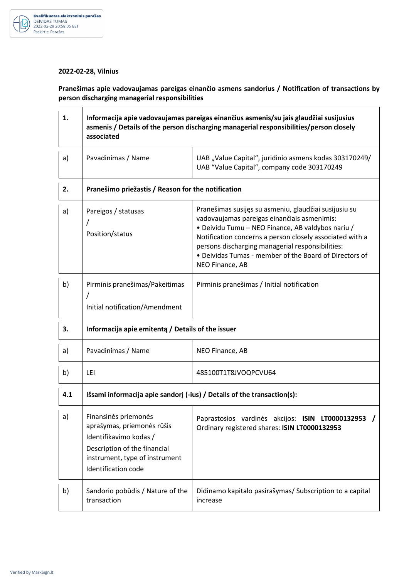

## **2022-02-28, Vilnius**

**Pranešimas apie vadovaujamas pareigas einančio asmens sandorius / Notification of transactions by person discharging managerial responsibilities** 

| 1.  | Informacija apie vadovaujamas pareigas einančius asmenis/su jais glaudžiai susijusius<br>asmenis / Details of the person discharging managerial responsibilities/person closely<br>associated |                                                                                                                                                                                                                                                                                                                                                        |  |
|-----|-----------------------------------------------------------------------------------------------------------------------------------------------------------------------------------------------|--------------------------------------------------------------------------------------------------------------------------------------------------------------------------------------------------------------------------------------------------------------------------------------------------------------------------------------------------------|--|
| a)  | Pavadinimas / Name                                                                                                                                                                            | UAB "Value Capital", juridinio asmens kodas 303170249/<br>UAB "Value Capital", company code 303170249                                                                                                                                                                                                                                                  |  |
| 2.  | Pranešimo priežastis / Reason for the notification                                                                                                                                            |                                                                                                                                                                                                                                                                                                                                                        |  |
| a)  | Pareigos / statusas<br>$\prime$<br>Position/status                                                                                                                                            | Pranešimas susijęs su asmeniu, glaudžiai susijusiu su<br>vadovaujamas pareigas einančiais asmenimis:<br>• Deividu Tumu - NEO Finance, AB valdybos nariu /<br>Notification concerns a person closely associated with a<br>persons discharging managerial responsibilities:<br>• Deividas Tumas - member of the Board of Directors of<br>NEO Finance, AB |  |
| b)  | Pirminis pranešimas/Pakeitimas<br>Initial notification/Amendment                                                                                                                              | Pirminis pranešimas / Initial notification                                                                                                                                                                                                                                                                                                             |  |
| 3.  | Informacija apie emitentą / Details of the issuer                                                                                                                                             |                                                                                                                                                                                                                                                                                                                                                        |  |
| a)  | Pavadinimas / Name                                                                                                                                                                            | NEO Finance, AB                                                                                                                                                                                                                                                                                                                                        |  |
| b)  | LEI                                                                                                                                                                                           | 485100T1T8JVOQPCVU64                                                                                                                                                                                                                                                                                                                                   |  |
| 4.1 | Išsami informacija apie sandorį (-ius) / Details of the transaction(s):                                                                                                                       |                                                                                                                                                                                                                                                                                                                                                        |  |
| a)  | Finansinės priemonės<br>aprašymas, priemonės rūšis<br>Identifikavimo kodas /<br>Description of the financial<br>instrument, type of instrument<br>Identification code                         | Paprastosios vardinės akcijos: ISIN LT0000132953 /<br>Ordinary registered shares: ISIN LT0000132953                                                                                                                                                                                                                                                    |  |
| b)  | Sandorio pobūdis / Nature of the<br>transaction                                                                                                                                               | Didinamo kapitalo pasirašymas/ Subscription to a capital<br>increase                                                                                                                                                                                                                                                                                   |  |